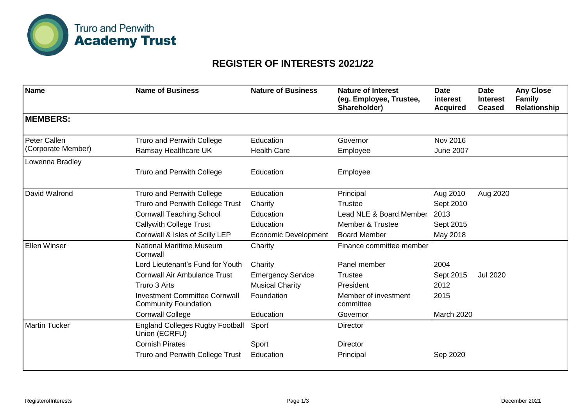

## **REGISTER OF INTERESTS 2021/22**

| <b>Name</b>          | <b>Name of Business</b>                                             | <b>Nature of Business</b>   | <b>Nature of Interest</b><br>(eg. Employee, Trustee,<br>Shareholder) | <b>Date</b><br><i>interest</i><br><b>Acquired</b> | <b>Date</b><br><b>Interest</b><br><b>Ceased</b> | <b>Any Close</b><br><b>Family</b><br>Relationship |
|----------------------|---------------------------------------------------------------------|-----------------------------|----------------------------------------------------------------------|---------------------------------------------------|-------------------------------------------------|---------------------------------------------------|
| <b>MEMBERS:</b>      |                                                                     |                             |                                                                      |                                                   |                                                 |                                                   |
| Peter Callen         | <b>Truro and Penwith College</b>                                    | Education                   | Governor                                                             | Nov 2016                                          |                                                 |                                                   |
| (Corporate Member)   | Ramsay Healthcare UK                                                | <b>Health Care</b>          | Employee                                                             | <b>June 2007</b>                                  |                                                 |                                                   |
| Lowenna Bradley      |                                                                     |                             |                                                                      |                                                   |                                                 |                                                   |
|                      | <b>Truro and Penwith College</b>                                    | Education                   | Employee                                                             |                                                   |                                                 |                                                   |
| David Walrond        | <b>Truro and Penwith College</b>                                    | Education                   | Principal                                                            | Aug 2010                                          | Aug 2020                                        |                                                   |
|                      | Truro and Penwith College Trust                                     | Charity                     | <b>Trustee</b>                                                       | Sept 2010                                         |                                                 |                                                   |
|                      | <b>Cornwall Teaching School</b>                                     | Education                   | Lead NLE & Board Member                                              | 2013                                              |                                                 |                                                   |
|                      | <b>Callywith College Trust</b>                                      | Education                   | Member & Trustee                                                     | Sept 2015                                         |                                                 |                                                   |
|                      | Cornwall & Isles of Scilly LEP                                      | <b>Economic Development</b> | <b>Board Member</b>                                                  | May 2018                                          |                                                 |                                                   |
| <b>Ellen Winser</b>  | <b>National Maritime Museum</b><br>Cornwall                         | Charity                     | Finance committee member                                             |                                                   |                                                 |                                                   |
|                      | Lord Lieutenant's Fund for Youth                                    | Charity                     | Panel member                                                         | 2004                                              |                                                 |                                                   |
|                      | <b>Cornwall Air Ambulance Trust</b>                                 | <b>Emergency Service</b>    | <b>Trustee</b>                                                       | Sept 2015                                         | <b>Jul 2020</b>                                 |                                                   |
|                      | Truro 3 Arts                                                        | <b>Musical Charity</b>      | President                                                            | 2012                                              |                                                 |                                                   |
|                      | <b>Investment Committee Cornwall</b><br><b>Community Foundation</b> | Foundation                  | Member of investment<br>committee                                    | 2015                                              |                                                 |                                                   |
|                      | <b>Cornwall College</b>                                             | Education                   | Governor                                                             | <b>March 2020</b>                                 |                                                 |                                                   |
| <b>Martin Tucker</b> | <b>England Colleges Rugby Football</b><br>Union (ECRFU)             | Sport                       | <b>Director</b>                                                      |                                                   |                                                 |                                                   |
|                      | <b>Cornish Pirates</b>                                              | Sport                       | <b>Director</b>                                                      |                                                   |                                                 |                                                   |
|                      | Truro and Penwith College Trust                                     | Education                   | Principal                                                            | Sep 2020                                          |                                                 |                                                   |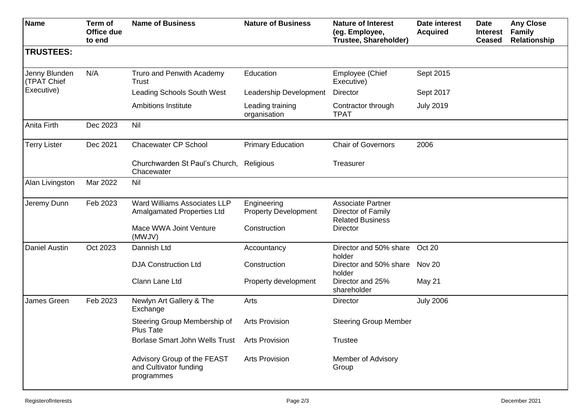| <b>Name</b>                  | Term of<br>Office due<br>to end | <b>Name of Business</b>                                             | <b>Nature of Business</b>                  | <b>Nature of Interest</b><br>(eg. Employee,<br>Trustee, Shareholder)      | Date interest<br><b>Acquired</b> | <b>Date</b><br><b>Interest</b><br><b>Ceased</b> | <b>Any Close</b><br><b>Family</b><br>Relationship |
|------------------------------|---------------------------------|---------------------------------------------------------------------|--------------------------------------------|---------------------------------------------------------------------------|----------------------------------|-------------------------------------------------|---------------------------------------------------|
| <b>TRUSTEES:</b>             |                                 |                                                                     |                                            |                                                                           |                                  |                                                 |                                                   |
| Jenny Blunden<br>(TPAT Chief | N/A                             | Truro and Penwith Academy<br>Trust                                  | Education                                  | Employee (Chief<br>Executive)                                             | Sept 2015                        |                                                 |                                                   |
| Executive)                   |                                 | <b>Leading Schools South West</b>                                   | Leadership Development                     | <b>Director</b>                                                           | Sept 2017                        |                                                 |                                                   |
|                              |                                 | <b>Ambitions Institute</b>                                          | Leading training<br>organisation           | Contractor through<br><b>TPAT</b>                                         | <b>July 2019</b>                 |                                                 |                                                   |
| Anita Firth                  | Dec 2023                        | Nil                                                                 |                                            |                                                                           |                                  |                                                 |                                                   |
| <b>Terry Lister</b>          | Dec 2021                        | <b>Chacewater CP School</b>                                         | <b>Primary Education</b>                   | <b>Chair of Governors</b>                                                 | 2006                             |                                                 |                                                   |
|                              |                                 | Churchwarden St Paul's Church,<br>Chacewater                        | Religious                                  | Treasurer                                                                 |                                  |                                                 |                                                   |
| Alan Livingston              | Mar 2022                        | Nil                                                                 |                                            |                                                                           |                                  |                                                 |                                                   |
| Jeremy Dunn                  | Feb 2023                        | Ward Williams Associates LLP<br>Amalgamated Properties Ltd          | Engineering<br><b>Property Development</b> | <b>Associate Partner</b><br>Director of Family<br><b>Related Business</b> |                                  |                                                 |                                                   |
|                              |                                 | Mace WWA Joint Venture<br>(MWJV)                                    | Construction                               | <b>Director</b>                                                           |                                  |                                                 |                                                   |
| <b>Daniel Austin</b>         | Oct 2023                        | Dannish Ltd                                                         | Accountancy                                | Director and 50% share Oct 20<br>holder                                   |                                  |                                                 |                                                   |
|                              |                                 | <b>DJA Construction Ltd</b>                                         | Construction                               | Director and 50% share Nov 20<br>holder                                   |                                  |                                                 |                                                   |
|                              |                                 | Clann Lane Ltd                                                      | Property development                       | Director and 25%<br>shareholder                                           | May 21                           |                                                 |                                                   |
| James Green                  | Feb 2023                        | Newlyn Art Gallery & The<br>Exchange                                | Arts                                       | <b>Director</b>                                                           | <b>July 2006</b>                 |                                                 |                                                   |
|                              |                                 | Steering Group Membership of<br>Plus Tate                           | <b>Arts Provision</b>                      | <b>Steering Group Member</b>                                              |                                  |                                                 |                                                   |
|                              |                                 | Borlase Smart John Wells Trust                                      | <b>Arts Provision</b>                      | <b>Trustee</b>                                                            |                                  |                                                 |                                                   |
|                              |                                 | Advisory Group of the FEAST<br>and Cultivator funding<br>programmes | <b>Arts Provision</b>                      | Member of Advisory<br>Group                                               |                                  |                                                 |                                                   |